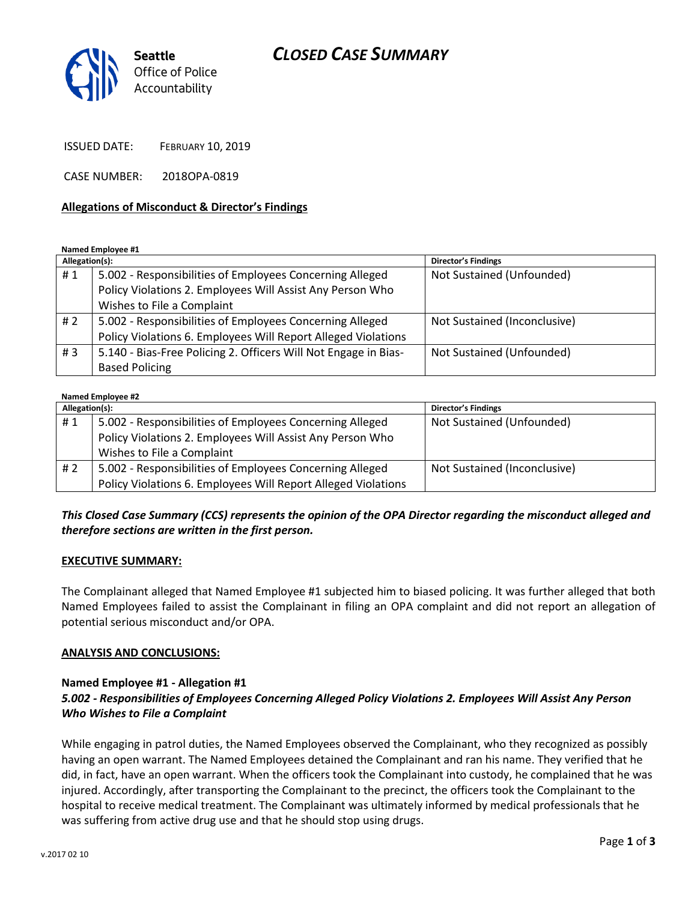## *CLOSED CASE SUMMARY*



ISSUED DATE: FEBRUARY 10, 2019

CASE NUMBER: 2018OPA-0819

#### **Allegations of Misconduct & Director's Findings**

**Named Employee #1**

| Allegation(s): |                                                                 | <b>Director's Findings</b>   |
|----------------|-----------------------------------------------------------------|------------------------------|
| #1             | 5.002 - Responsibilities of Employees Concerning Alleged        | Not Sustained (Unfounded)    |
|                | Policy Violations 2. Employees Will Assist Any Person Who       |                              |
|                | Wishes to File a Complaint                                      |                              |
| # 2            | 5.002 - Responsibilities of Employees Concerning Alleged        | Not Sustained (Inconclusive) |
|                | Policy Violations 6. Employees Will Report Alleged Violations   |                              |
| #3             | 5.140 - Bias-Free Policing 2. Officers Will Not Engage in Bias- | Not Sustained (Unfounded)    |
|                | <b>Based Policing</b>                                           |                              |

| Named Employee #2 |                                                               |                              |  |
|-------------------|---------------------------------------------------------------|------------------------------|--|
| Allegation(s):    |                                                               | Director's Findings          |  |
| #1                | 5.002 - Responsibilities of Employees Concerning Alleged      | Not Sustained (Unfounded)    |  |
|                   | Policy Violations 2. Employees Will Assist Any Person Who     |                              |  |
|                   | Wishes to File a Complaint                                    |                              |  |
| #2                | 5.002 - Responsibilities of Employees Concerning Alleged      | Not Sustained (Inconclusive) |  |
|                   | Policy Violations 6. Employees Will Report Alleged Violations |                              |  |

### *This Closed Case Summary (CCS) represents the opinion of the OPA Director regarding the misconduct alleged and therefore sections are written in the first person.*

#### **EXECUTIVE SUMMARY:**

The Complainant alleged that Named Employee #1 subjected him to biased policing. It was further alleged that both Named Employees failed to assist the Complainant in filing an OPA complaint and did not report an allegation of potential serious misconduct and/or OPA.

#### **ANALYSIS AND CONCLUSIONS:**

## **Named Employee #1 - Allegation #1**

#### *5.002 - Responsibilities of Employees Concerning Alleged Policy Violations 2. Employees Will Assist Any Person Who Wishes to File a Complaint*

While engaging in patrol duties, the Named Employees observed the Complainant, who they recognized as possibly having an open warrant. The Named Employees detained the Complainant and ran his name. They verified that he did, in fact, have an open warrant. When the officers took the Complainant into custody, he complained that he was injured. Accordingly, after transporting the Complainant to the precinct, the officers took the Complainant to the hospital to receive medical treatment. The Complainant was ultimately informed by medical professionals that he was suffering from active drug use and that he should stop using drugs.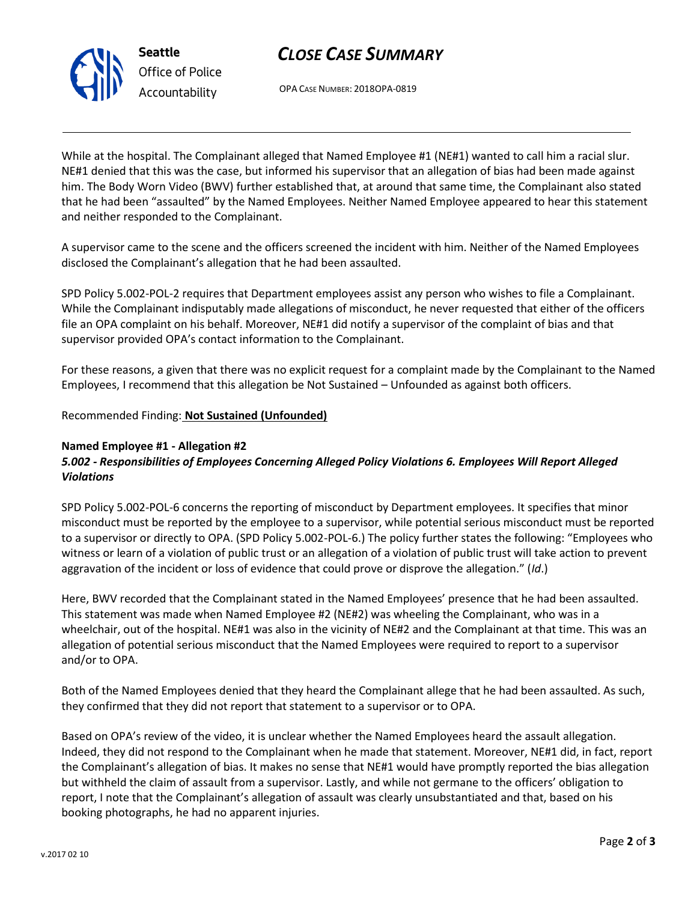# *CLOSE CASE SUMMARY*



OPA CASE NUMBER: 2018OPA-0819

While at the hospital. The Complainant alleged that Named Employee #1 (NE#1) wanted to call him a racial slur. NE#1 denied that this was the case, but informed his supervisor that an allegation of bias had been made against him. The Body Worn Video (BWV) further established that, at around that same time, the Complainant also stated that he had been "assaulted" by the Named Employees. Neither Named Employee appeared to hear this statement and neither responded to the Complainant.

A supervisor came to the scene and the officers screened the incident with him. Neither of the Named Employees disclosed the Complainant's allegation that he had been assaulted.

SPD Policy 5.002-POL-2 requires that Department employees assist any person who wishes to file a Complainant. While the Complainant indisputably made allegations of misconduct, he never requested that either of the officers file an OPA complaint on his behalf. Moreover, NE#1 did notify a supervisor of the complaint of bias and that supervisor provided OPA's contact information to the Complainant.

For these reasons, a given that there was no explicit request for a complaint made by the Complainant to the Named Employees, I recommend that this allegation be Not Sustained – Unfounded as against both officers.

Recommended Finding: **Not Sustained (Unfounded)**

## **Named Employee #1 - Allegation #2**

## *5.002 - Responsibilities of Employees Concerning Alleged Policy Violations 6. Employees Will Report Alleged Violations*

SPD Policy 5.002-POL-6 concerns the reporting of misconduct by Department employees. It specifies that minor misconduct must be reported by the employee to a supervisor, while potential serious misconduct must be reported to a supervisor or directly to OPA. (SPD Policy 5.002-POL-6.) The policy further states the following: "Employees who witness or learn of a violation of public trust or an allegation of a violation of public trust will take action to prevent aggravation of the incident or loss of evidence that could prove or disprove the allegation." (*Id*.)

Here, BWV recorded that the Complainant stated in the Named Employees' presence that he had been assaulted. This statement was made when Named Employee #2 (NE#2) was wheeling the Complainant, who was in a wheelchair, out of the hospital. NE#1 was also in the vicinity of NE#2 and the Complainant at that time. This was an allegation of potential serious misconduct that the Named Employees were required to report to a supervisor and/or to OPA.

Both of the Named Employees denied that they heard the Complainant allege that he had been assaulted. As such, they confirmed that they did not report that statement to a supervisor or to OPA.

Based on OPA's review of the video, it is unclear whether the Named Employees heard the assault allegation. Indeed, they did not respond to the Complainant when he made that statement. Moreover, NE#1 did, in fact, report the Complainant's allegation of bias. It makes no sense that NE#1 would have promptly reported the bias allegation but withheld the claim of assault from a supervisor. Lastly, and while not germane to the officers' obligation to report, I note that the Complainant's allegation of assault was clearly unsubstantiated and that, based on his booking photographs, he had no apparent injuries.